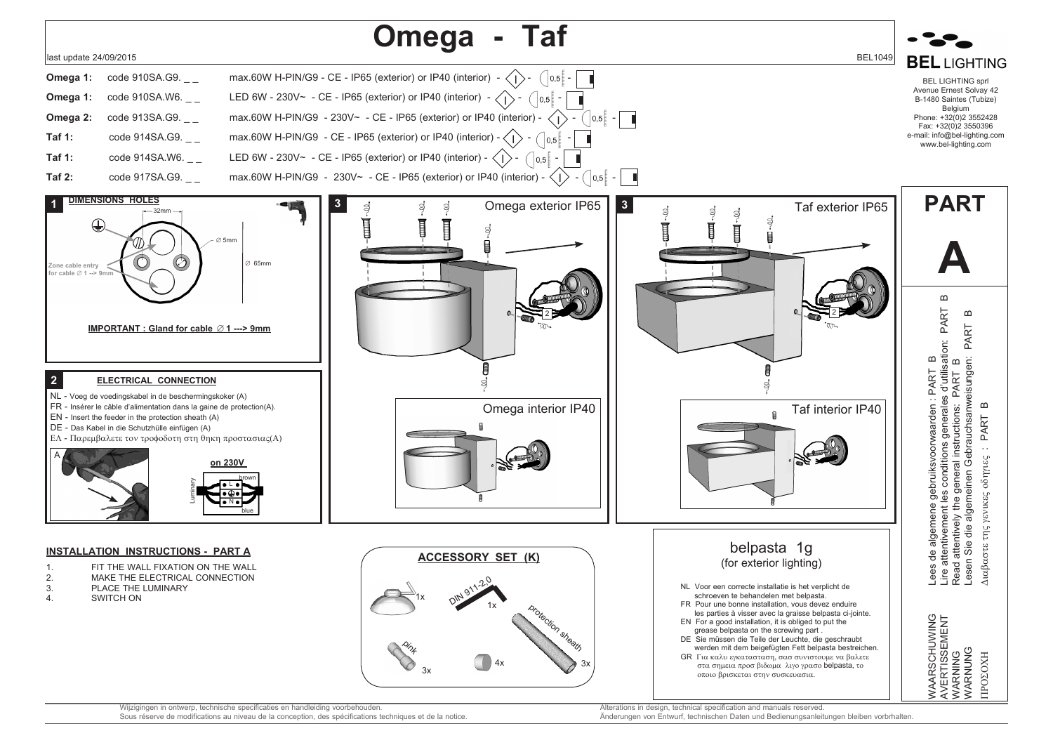

Sous réserve de modifications au niveau de la conception, des spécifications techniques et de la notice.